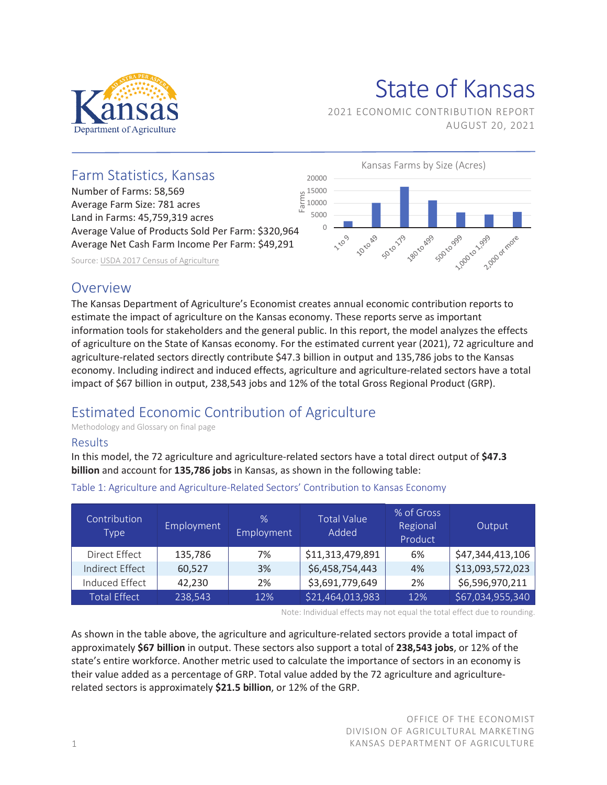

# State of Kansas

2021 ECONOMIC CONTRIBUTION REPORT AUGUST 20, 2021



## **Overview**

The Kansas Department of Agriculture's Economist creates annual economic contribution reports to estimate the impact of agriculture on the Kansas economy. These reports serve as important information tools for stakeholders and the general public. In this report, the model analyzes the effects of agriculture on the State of Kansas economy. For the estimated current year (2021), 72 agriculture and agriculture-related sectors directly contribute \$47.3 billion in output and 135,786 jobs to the Kansas economy. Including indirect and induced effects, agriculture and agriculture-related sectors have a total impact of \$67 billion in output, 238,543 jobs and 12% of the total Gross Regional Product (GRP).

## Estimated Economic Contribution of Agriculture

Methodology and Glossary on final page

#### Results

In this model, the 72 agriculture and agriculture-related sectors have a total direct output of **\$47.3 billion** and account for **135,786 jobs** in Kansas, as shown in the following table:

| Contribution<br>Type   | Employment | $\%$<br>Employment | <b>Total Value</b><br>Added | % of Gross<br>Regional<br>Product | Output           |
|------------------------|------------|--------------------|-----------------------------|-----------------------------------|------------------|
| Direct Effect          | 135,786    | 7%                 | \$11,313,479,891            | 6%                                | \$47,344,413,106 |
| <b>Indirect Effect</b> | 60,527     | 3%                 | \$6,458,754,443             | 4%                                | \$13,093,572,023 |
| Induced Effect         | 42,230     | 2%                 | \$3,691,779,649             | 2%                                | \$6,596,970,211  |
| <b>Total Effect</b>    | 238,543    | 12%                | \$21,464,013,983            | 12%                               | \$67,034,955,340 |

Table 1: Agriculture and Agriculture-Related Sectors' Contribution to Kansas Economy

Note: Individual effects may not equal the total effect due to rounding.

As shown in the table above, the agriculture and agriculture-related sectors provide a total impact of approximately **\$67 billion** in output. These sectors also support a total of **238,543 jobs**, or 12% of the state's entire workforce. Another metric used to calculate the importance of sectors in an economy is their value added as a percentage of GRP. Total value added by the 72 agriculture and agriculturerelated sectors is approximately **\$21.5 billion**, or 12% of the GRP.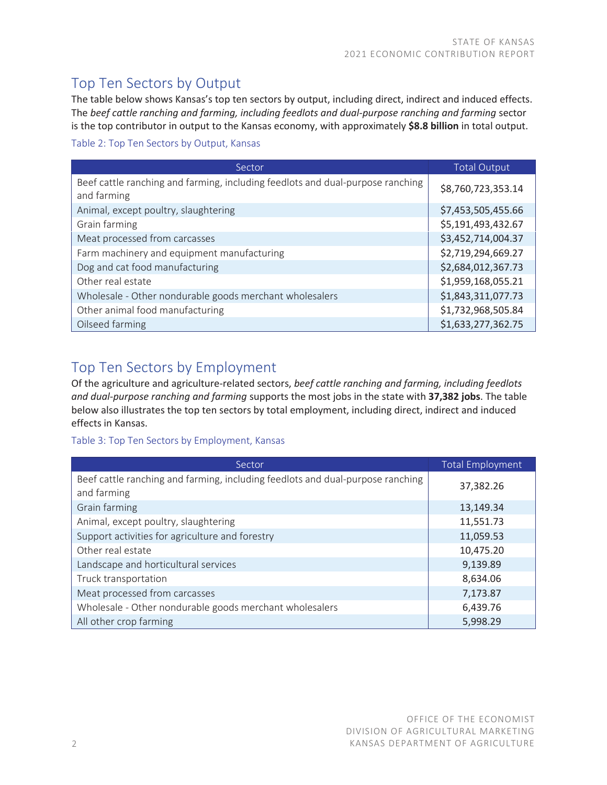## Top Ten Sectors by Output

The table below shows Kansas's top ten sectors by output, including direct, indirect and induced effects. The *beef cattle ranching and farming, including feedlots and dual-purpose ranching and farming* sector is the top contributor in output to the Kansas economy, with approximately **\$8.8 billion** in total output.

#### Table 2: Top Ten Sectors by Output, Kansas

| Sector                                                                                        | <b>Total Output</b> |
|-----------------------------------------------------------------------------------------------|---------------------|
| Beef cattle ranching and farming, including feedlots and dual-purpose ranching<br>and farming | \$8,760,723,353.14  |
| Animal, except poultry, slaughtering                                                          | \$7,453,505,455.66  |
| Grain farming                                                                                 | \$5,191,493,432.67  |
| Meat processed from carcasses                                                                 | \$3,452,714,004.37  |
| Farm machinery and equipment manufacturing                                                    | \$2,719,294,669.27  |
| Dog and cat food manufacturing                                                                | \$2,684,012,367.73  |
| Other real estate                                                                             | \$1,959,168,055.21  |
| Wholesale - Other nondurable goods merchant wholesalers                                       | \$1,843,311,077.73  |
| Other animal food manufacturing                                                               | \$1,732,968,505.84  |
| Oilseed farming                                                                               | \$1,633,277,362.75  |

## Top Ten Sectors by Employment

Of the agriculture and agriculture-related sectors, *beef cattle ranching and farming, including feedlots and dual-purpose ranching and farming* supports the most jobs in the state with **37,382 jobs**. The table below also illustrates the top ten sectors by total employment, including direct, indirect and induced effects in Kansas.

#### Table 3: Top Ten Sectors by Employment, Kansas

| Sector                                                                                        | <b>Total Employment</b> |
|-----------------------------------------------------------------------------------------------|-------------------------|
| Beef cattle ranching and farming, including feedlots and dual-purpose ranching<br>and farming | 37,382.26               |
| Grain farming                                                                                 | 13,149.34               |
| Animal, except poultry, slaughtering                                                          | 11,551.73               |
| Support activities for agriculture and forestry                                               | 11,059.53               |
| Other real estate                                                                             | 10,475.20               |
| Landscape and horticultural services                                                          | 9,139.89                |
| Truck transportation                                                                          | 8,634.06                |
| Meat processed from carcasses                                                                 | 7,173.87                |
| Wholesale - Other nondurable goods merchant wholesalers                                       | 6,439.76                |
| All other crop farming                                                                        | 5,998.29                |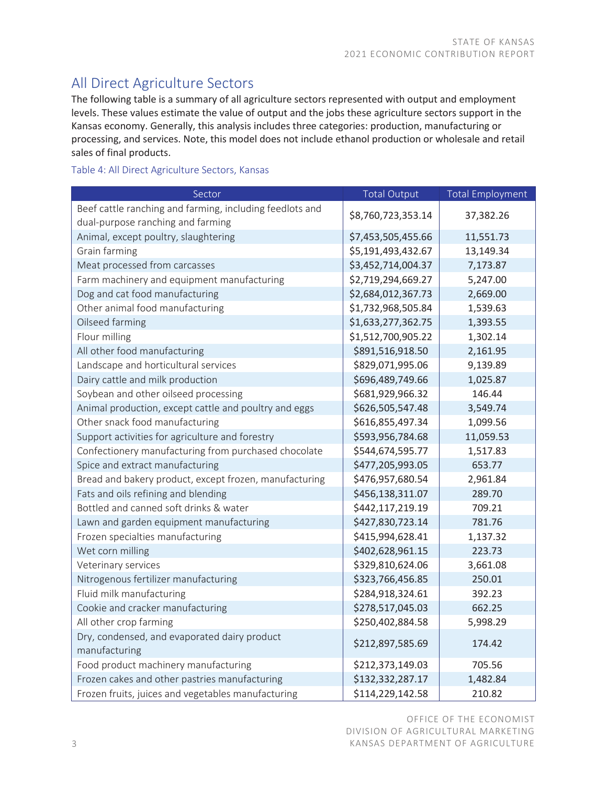# All Direct Agriculture Sectors

The following table is a summary of all agriculture sectors represented with output and employment levels. These values estimate the value of output and the jobs these agriculture sectors support in the Kansas economy. Generally, this analysis includes three categories: production, manufacturing or processing, and services. Note, this model does not include ethanol production or wholesale and retail sales of final products.

#### Table 4: All Direct Agriculture Sectors, Kansas

| Sector                                                                                        | <b>Total Output</b> | <b>Total Employment</b> |
|-----------------------------------------------------------------------------------------------|---------------------|-------------------------|
| Beef cattle ranching and farming, including feedlots and<br>dual-purpose ranching and farming | \$8,760,723,353.14  | 37,382.26               |
| Animal, except poultry, slaughtering                                                          | \$7,453,505,455.66  | 11,551.73               |
| Grain farming                                                                                 | \$5,191,493,432.67  | 13,149.34               |
| Meat processed from carcasses                                                                 | \$3,452,714,004.37  | 7,173.87                |
| Farm machinery and equipment manufacturing                                                    | \$2,719,294,669.27  | 5,247.00                |
| Dog and cat food manufacturing                                                                | \$2,684,012,367.73  | 2,669.00                |
| Other animal food manufacturing                                                               | \$1,732,968,505.84  | 1,539.63                |
| Oilseed farming                                                                               | \$1,633,277,362.75  | 1,393.55                |
| Flour milling                                                                                 | \$1,512,700,905.22  | 1,302.14                |
| All other food manufacturing                                                                  | \$891,516,918.50    | 2,161.95                |
| Landscape and horticultural services                                                          | \$829,071,995.06    | 9,139.89                |
| Dairy cattle and milk production                                                              | \$696,489,749.66    | 1,025.87                |
| Soybean and other oilseed processing                                                          | \$681,929,966.32    | 146.44                  |
| Animal production, except cattle and poultry and eggs                                         | \$626,505,547.48    | 3,549.74                |
| Other snack food manufacturing                                                                | \$616,855,497.34    | 1,099.56                |
| Support activities for agriculture and forestry                                               | \$593,956,784.68    | 11,059.53               |
| Confectionery manufacturing from purchased chocolate                                          | \$544,674,595.77    | 1,517.83                |
| Spice and extract manufacturing                                                               | \$477,205,993.05    | 653.77                  |
| Bread and bakery product, except frozen, manufacturing                                        | \$476,957,680.54    | 2,961.84                |
| Fats and oils refining and blending                                                           | \$456,138,311.07    | 289.70                  |
| Bottled and canned soft drinks & water                                                        | \$442,117,219.19    | 709.21                  |
| Lawn and garden equipment manufacturing                                                       | \$427,830,723.14    | 781.76                  |
| Frozen specialties manufacturing                                                              | \$415,994,628.41    | 1,137.32                |
| Wet corn milling                                                                              | \$402,628,961.15    | 223.73                  |
| Veterinary services                                                                           | \$329,810,624.06    | 3,661.08                |
| Nitrogenous fertilizer manufacturing                                                          | \$323,766,456.85    | 250.01                  |
| Fluid milk manufacturing                                                                      | \$284,918,324.61    | 392.23                  |
| Cookie and cracker manufacturing                                                              | \$278,517,045.03    | 662.25                  |
| All other crop farming                                                                        | \$250,402,884.58    | 5,998.29                |
| Dry, condensed, and evaporated dairy product<br>manufacturing                                 | \$212,897,585.69    | 174.42                  |
| Food product machinery manufacturing                                                          | \$212,373,149.03    | 705.56                  |
| Frozen cakes and other pastries manufacturing                                                 | \$132,332,287.17    | 1,482.84                |
| Frozen fruits, juices and vegetables manufacturing                                            | \$114,229,142.58    | 210.82                  |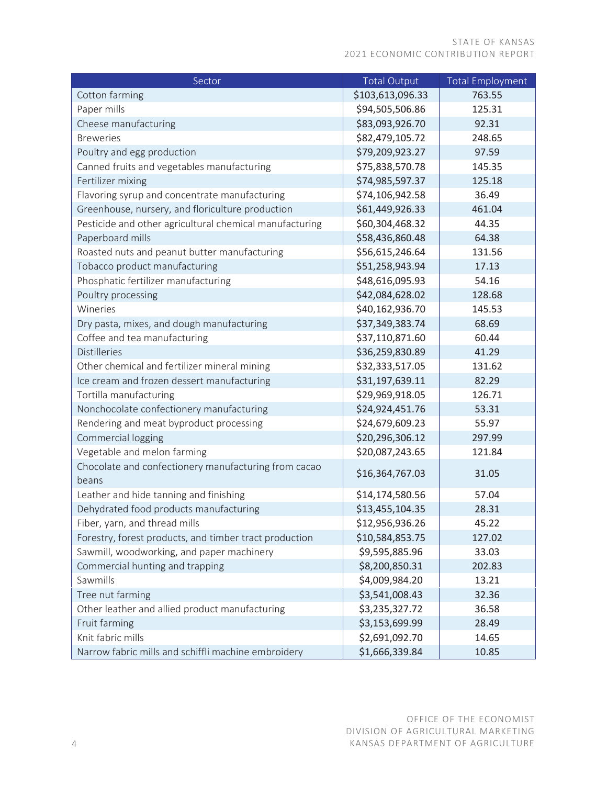#### STATE OF KANSAS 2021 ECONOMIC CONTRIBUTION REPORT

| Sector                                                        | <b>Total Output</b> | <b>Total Employment</b> |
|---------------------------------------------------------------|---------------------|-------------------------|
| Cotton farming                                                | \$103,613,096.33    | 763.55                  |
| Paper mills                                                   | \$94,505,506.86     | 125.31                  |
| Cheese manufacturing                                          | \$83,093,926.70     | 92.31                   |
| <b>Breweries</b>                                              | \$82,479,105.72     | 248.65                  |
| Poultry and egg production                                    | \$79,209,923.27     | 97.59                   |
| Canned fruits and vegetables manufacturing                    | \$75,838,570.78     | 145.35                  |
| Fertilizer mixing                                             | \$74,985,597.37     | 125.18                  |
| Flavoring syrup and concentrate manufacturing                 | \$74,106,942.58     | 36.49                   |
| Greenhouse, nursery, and floriculture production              | \$61,449,926.33     | 461.04                  |
| Pesticide and other agricultural chemical manufacturing       | \$60,304,468.32     | 44.35                   |
| Paperboard mills                                              | \$58,436,860.48     | 64.38                   |
| Roasted nuts and peanut butter manufacturing                  | \$56,615,246.64     | 131.56                  |
| Tobacco product manufacturing                                 | \$51,258,943.94     | 17.13                   |
| Phosphatic fertilizer manufacturing                           | \$48,616,095.93     | 54.16                   |
| Poultry processing                                            | \$42,084,628.02     | 128.68                  |
| Wineries                                                      | \$40,162,936.70     | 145.53                  |
| Dry pasta, mixes, and dough manufacturing                     | \$37,349,383.74     | 68.69                   |
| Coffee and tea manufacturing                                  | \$37,110,871.60     | 60.44                   |
| <b>Distilleries</b>                                           | \$36,259,830.89     | 41.29                   |
| Other chemical and fertilizer mineral mining                  | \$32,333,517.05     | 131.62                  |
| Ice cream and frozen dessert manufacturing                    | \$31,197,639.11     | 82.29                   |
| Tortilla manufacturing                                        | \$29,969,918.05     | 126.71                  |
| Nonchocolate confectionery manufacturing                      | \$24,924,451.76     | 53.31                   |
| Rendering and meat byproduct processing                       | \$24,679,609.23     | 55.97                   |
| Commercial logging                                            | \$20,296,306.12     | 297.99                  |
| Vegetable and melon farming                                   | \$20,087,243.65     | 121.84                  |
| Chocolate and confectionery manufacturing from cacao<br>beans | \$16,364,767.03     | 31.05                   |
| Leather and hide tanning and finishing                        | \$14,174,580.56     | 57.04                   |
| Dehydrated food products manufacturing                        | \$13,455,104.35     | 28.31                   |
| Fiber, yarn, and thread mills                                 | \$12,956,936.26     | 45.22                   |
| Forestry, forest products, and timber tract production        | \$10,584,853.75     | 127.02                  |
| Sawmill, woodworking, and paper machinery                     | \$9,595,885.96      | 33.03                   |
| Commercial hunting and trapping                               | \$8,200,850.31      | 202.83                  |
| Sawmills                                                      | \$4,009,984.20      | 13.21                   |
| Tree nut farming                                              | \$3,541,008.43      | 32.36                   |
| Other leather and allied product manufacturing                | \$3,235,327.72      | 36.58                   |
| Fruit farming                                                 | \$3,153,699.99      | 28.49                   |
| Knit fabric mills                                             | \$2,691,092.70      | 14.65                   |
| Narrow fabric mills and schiffli machine embroidery           | \$1,666,339.84      | 10.85                   |